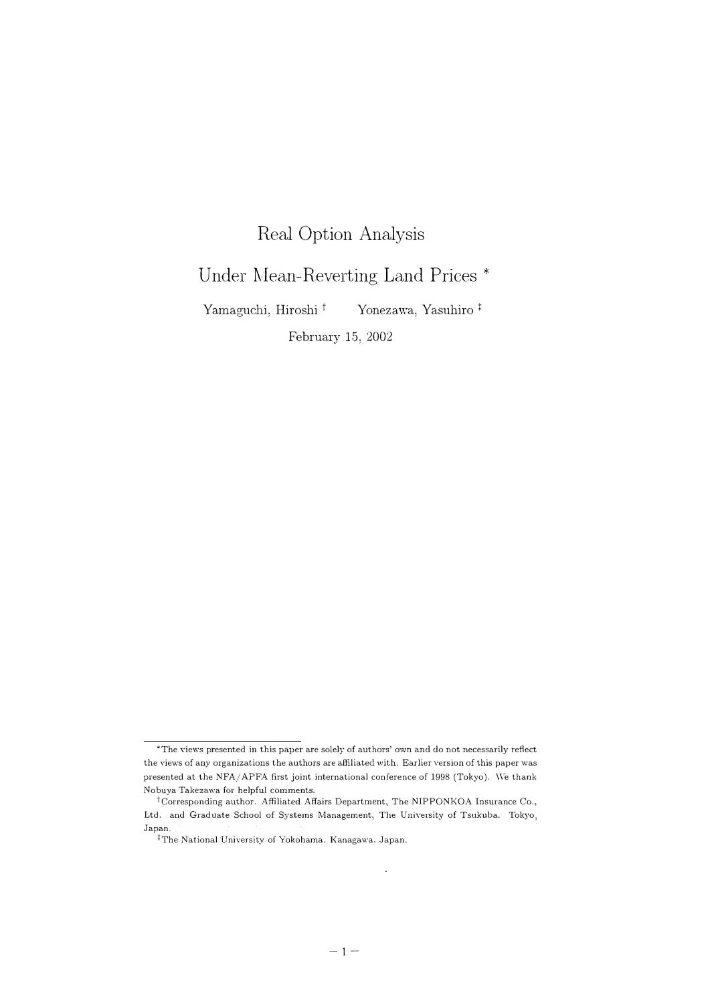## Real Option Analysis

## Under Mean-Reverting Land Prices \*

Yamaguchi, Hiroshi <sup>†</sup> Yonezawa, Yasuhiro <sup>‡</sup>

February 15, 2002

<sup>\*</sup>The views presented in this paper are solely of authors' own and do not necessarily reflect the views of any organizations the authors are affiliated with. Earlier version of this paper was presented at the NFA/APFA first joint international conference of 1998 (Tokyo). We thank Nobuya Takczawa for helpful comments.

 $\dagger$ Corresponding author. Affiliated Affairs Department, The NIPPONKOA Insurance Co., Ltd. and Graduate School of Systems Management, The University of Tsukuba. Tokyo, Japan.

<sup>&</sup>lt;sup>‡</sup>The National University of Yokohama. Kanagawa, Japan.